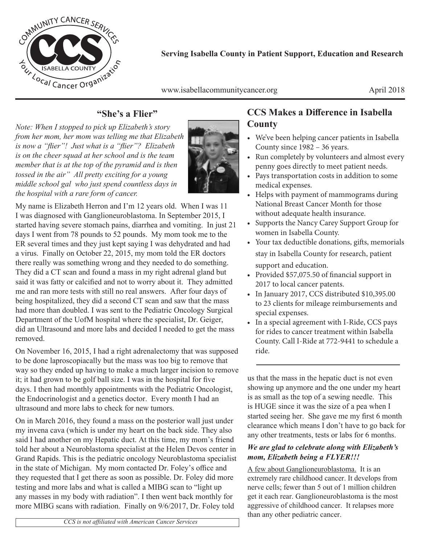

**Serving Isabella County in Patient Support, Education and Research**

www.isabellacommunitycancer.org April 2018

#### **"She's a Flier"**

*Note: When I stopped to pick up Elizabeth's story from her mom, her mom was telling me that Elizabeth is now a "flier"! Just what is a "flier"? Elizabeth is on the cheer squad at her school and is the team member that is at the top of the pyramid and is then tossed in the air" All pretty exciting for a young middle school gal who just spend countless days in the hospital with a rare form of cancer.* 



My name is Elizabeth Herron and I'm 12 years old. When I was 11 I was diagnosed with Ganglioneuroblastoma. In September 2015, I started having severe stomach pains, diarrhea and vomiting. In just 21 days I went from 78 pounds to 52 pounds. My mom took me to the ER several times and they just kept saying I was dehydrated and had a virus. Finally on October 22, 2015, my mom told the ER doctors there really was something wrong and they needed to do something. They did a CT scan and found a mass in my right adrenal gland but said it was fatty or calcified and not to worry about it. They admitted me and ran more tests with still no real answers. After four days of being hospitalized, they did a second CT scan and saw that the mass had more than doubled. I was sent to the Pediatric Oncology Surgical Department of the UofM hospital where the specialist, Dr. Geiger, did an Ultrasound and more labs and decided I needed to get the mass removed.

On November 16, 2015, I had a right adrenalectomy that was supposed to be done laproscopiacally but the mass was too big to remove that way so they ended up having to make a much larger incision to remove it; it had grown to be golf ball size. I was in the hospital for five days. I then had monthly appointments with the Pediatric Oncologist, the Endocrinologist and a genetics doctor. Every month I had an ultrasound and more labs to check for new tumors.

On in March 2016, they found a mass on the posterior wall just under my invena cava (which is under my heart on the back side. They also said I had another on my Hepatic duct. At this time, my mom's friend told her about a Neuroblastoma specialist at the Helen Devos center in Grand Rapids. This is the pediatric oncology Neuroblastoma specialist in the state of Michigan. My mom contacted Dr. Foley's office and they requested that I get there as soon as possible. Dr. Foley did more testing and more labs and what is called a MIBG scan to "light up any masses in my body with radiation". I then went back monthly for more MIBG scans with radiation. Finally on 9/6/2017, Dr. Foley told

#### **CCS Makes a Difference in Isabella County**

- We've been helping cancer patients in Isabella County since 1982 – 36 years.
- Run completely by volunteers and almost every penny goes directly to meet patient needs.
- Pays transportation costs in addition to some medical expenses.
- Helps with payment of mammograms during National Breast Cancer Month for those without adequate health insurance.
- Supports the Nancy Carey Support Group for women in Isabella County.
- Your tax deductible donations, gifts, memorials stay in Isabella County for research, patient support and education.
- Provided \$57,075.50 of financial support in 2017 to local cancer patents.
- In January 2017, CCS distributed \$10,395.00 to 23 clients for mileage reimbursements and special expenses.
- In a special agreement with I-Ride, CCS pays for rides to cancer treatment within Isabella County. Call I-Ride at 772-9441 to schedule a ride.

us that the mass in the hepatic duct is not even showing up anymore and the one under my heart is as small as the top of a sewing needle. This is HUGE since it was the size of a pea when I started seeing her. She gave me my first 6 month clearance which means I don't have to go back for any other treatments, tests or labs for 6 months.

#### *We are glad to celebrate along with Elizabeth's mom, Elizabeth being a FLYER!!!*

A few about Ganglioneuroblastoma. It is an extremely rare childhood cancer. It develops from nerve cells; fewer than 5 out of 1 million children get it each rear. Ganglioneuroblastoma is the most aggressive of childhood cancer. It relapses more than any other pediatric cancer.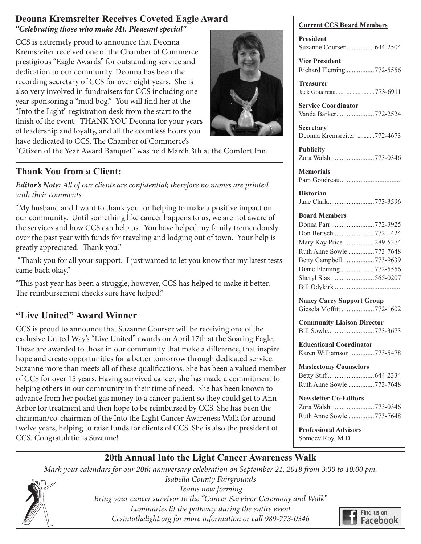#### **Deonna Kremsreiter Receives Coveted Eagle Award** *"Celebrating those who make Mt. Pleasant special"*

CCS is extremely proud to announce that Deonna Kremsreiter received one of the Chamber of Commerce prestigious "Eagle Awards" for outstanding service and dedication to our community. Deonna has been the recording secretary of CCS for over eight years. She is also very involved in fundraisers for CCS including one year sponsoring a "mud bog." You will find her at the "Into the Light" registration desk from the start to the finish of the event. THANK YOU Deonna for your years of leadership and loyalty, and all the countless hours you have dedicated to CCS. The Chamber of Commerce's



"Citizen of the Year Award Banquet" was held March 3th at the Comfort Inn.

#### **Thank You from a Client:**

*Editor's Note: All of our clients are confidential; therefore no names are printed with their comments.* 

"My husband and I want to thank you for helping to make a positive impact on our community. Until something like cancer happens to us, we are not aware of the services and how CCS can help us. You have helped my family tremendously over the past year with funds for traveling and lodging out of town. Your help is greatly appreciated. Thank you."

 "Thank you for all your support. I just wanted to let you know that my latest tests came back okay."

"This past year has been a struggle; however, CCS has helped to make it better. The reimbursement checks sure have helped."

#### **"Live United" Award Winner**

CCS is proud to announce that Suzanne Courser will be receiving one of the exclusive United Way's "Live United" awards on April 17th at the Soaring Eagle. These are awarded to those in our community that make a difference, that inspire hope and create opportunities for a better tomorrow through dedicated service. Suzanne more than meets all of these qualifications. She has been a valued member of CCS for over 15 years. Having survived cancer, she has made a commitment to helping others in our community in their time of need. She has been known to advance from her pocket gas money to a cancer patient so they could get to Ann Arbor for treatment and then hope to be reimbursed by CCS. She has been the chairman/co-chairman of the Into the Light Cancer Awareness Walk for around twelve years, helping to raise funds for clients of CCS. She is also the president of CCS. Congratulations Suzanne!

| <b>Current CCS Board Members</b>                                                                                                                                                                      |  |
|-------------------------------------------------------------------------------------------------------------------------------------------------------------------------------------------------------|--|
| <b>President</b><br>Suzanne Courser  644-2504                                                                                                                                                         |  |
| <b>Vice President</b><br>Richard Fleming 772-5556                                                                                                                                                     |  |
| Treasurer<br>Jack Goudreau773-6911                                                                                                                                                                    |  |
| <b>Service Coordinator</b><br>Vanda Barker772-2524                                                                                                                                                    |  |
| Secretary<br>Deonna Kremsreiter 772-4673                                                                                                                                                              |  |
| <b>Publicity</b><br>Zora Walsh 773-0346                                                                                                                                                               |  |
| <b>Memorials</b>                                                                                                                                                                                      |  |
| <b>Historian</b><br>Jane Clark773-3596                                                                                                                                                                |  |
| <b>Board Members</b><br>Donna Parr 772-3925<br>Don Bertsch 772-1424<br>Mary Kay Price289-5374<br>Ruth Anne Sowle 773-7648<br>Betty Campbell 773-9639<br>Diane Fleming772-5556<br>Sheryl Sias 565-0207 |  |
| <b>Nancy Carey Support Group</b><br>Giesela Moffitt 772-1602                                                                                                                                          |  |
| <b>Community Liaison Director</b><br>Bill Sowle773-3673                                                                                                                                               |  |
| <b>Educational Coordinator</b><br>Karen Williamson 773-5478                                                                                                                                           |  |
| <b>Mastectomy Counselors</b><br>Ruth Anne Sowle 773-7648                                                                                                                                              |  |
| <b>Newsletter Co-Editors</b><br>Zora Walsh 773-0346<br>Ruth Anne Sowle 773-7648                                                                                                                       |  |
| <b>Professional Advisors</b><br>Somdev Roy, M.D.                                                                                                                                                      |  |

#### **20th Annual Into the Light Cancer Awareness Walk**

*Mark your calendars for our 20th anniversary celebration on September 21, 2018 from 3:00 to 10:00 pm.* 



*Isabella County Fairgrounds Teams now forming Bring your cancer survivor to the "Cancer Survivor Ceremony and Walk" Luminaries lit the pathway during the entire event Ccsintothelight.org for more information or call 989-773-0346*

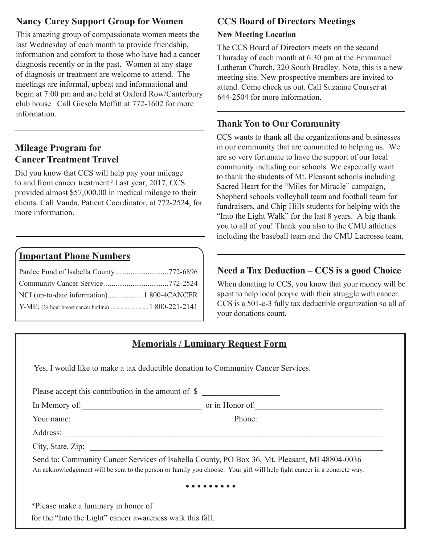#### **Nancy Carey Support Group for Women**

This amazing group of compassionate women meets the last Wednesday of each month to provide friendship, information and comfort to those who have had a cancer diagnosis recently or in the past. Women at any stage of diagnosis or treatment are welcome to attend. The meetings are informal, upbeat and informational and begin at 7:00 pm and are held at Oxford Row/Canterbury club house. Call Giesela Moffitt at 772-1602 for more information.

#### **Mileage Program for Cancer Treatment Travel**

Did you know that CCS will help pay your mileage to and from cancer treatment? Last year, 2017, CCS provided almost \$57,000.00 in medical mileage to their clients. Call Vanda, Patient Coordinator, at 772-2524, for more information.

#### **Important Phone Numbers**

#### **CCS Board of Directors Meetings**

#### **New Meeting Location**

The CCS Board of Directors meets on the second Thursday of each month at 6:30 pm at the Emmanuel Lutheran Church, 320 South Bradley. Note, this is a new meeting site. New prospective members are invited to attend. Come check us out. Call Suzanne Courser at 644-2504 for more information.

#### **Thank You to Our Community**

CCS wants to thank all the organizations and businesses in our community that are committed to helping us. We are so very fortunate to have the support of our local community including our schools. We especially want to thank the students of Mt. Pleasant schools including Sacred Heart for the "Miles for Miracle" campaign, Shepherd schools volleyball team and football team for fundraisers, and Chip Hills students for helping with the "Into the Light Walk" for the last 8 years. A big thank you to all of you! Thank you also to the CMU athletics including the baseball team and the CMU Lacrosse team.

#### **Need a Tax Deduction – CCS is a good Choice**

When donating to CCS, you know that your money will be spent to help local people with their struggle with cancer. CCS is a 501-c-3 fully tax deductible organization so all of your donations count.

#### **Memorials / Luminary Request Form**

Yes, I would like to make a tax deductible donation to Community Cancer Services.

| In Memory of:     | or in Honor of:                                                                                                                                                                                                          |
|-------------------|--------------------------------------------------------------------------------------------------------------------------------------------------------------------------------------------------------------------------|
| Your name:        | Phone:<br><u> 1989 - Johann Stoff, skriuwer en fan it ferskearre fan it ferskearre fan it ferskearre fan it ferskearre fan i</u>                                                                                         |
| Address:          |                                                                                                                                                                                                                          |
| City, State, Zip: |                                                                                                                                                                                                                          |
|                   | Send to: Community Cancer Services of Isabella County, PO Box 36, Mt. Pleasant, MI 48804-0036<br>An acknowledgement will be sent to the person or family you choose. Your gift will help fight cancer in a concrete way. |

\*Please make a luminary in honor of \_\_\_\_\_\_\_\_\_\_\_\_\_\_\_\_\_\_\_\_\_\_\_\_\_\_\_\_\_\_\_\_\_\_\_\_\_\_\_\_\_\_\_\_\_\_\_\_\_\_\_\_\_\_\_ for the "Into the Light" cancer awareness walk this fall.